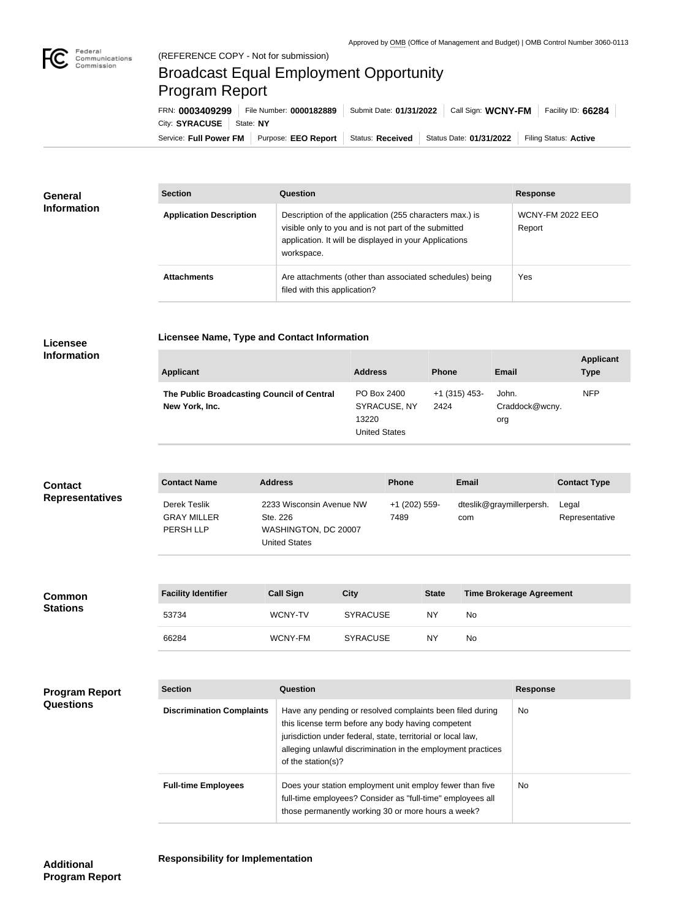

**COL** 

## Broadcast Equal Employment Opportunity Program Report

**Licensee Name, Type and Contact Information**

Service: Full Power FM | Purpose: EEO Report | Status: Received | Status Date: 01/31/2022 | Filing Status: Active City: **SYRACUSE** | State: NY FRN: **0003409299** File Number: **0000182889** Submit Date: **01/31/2022** Call Sign: **WCNY-FM** Facility ID: **66284**

| <b>General</b><br><b>Information</b> | <b>Section</b>                 | <b>Question</b>                                                                                                                                                                         | <b>Response</b>                   |  |
|--------------------------------------|--------------------------------|-----------------------------------------------------------------------------------------------------------------------------------------------------------------------------------------|-----------------------------------|--|
|                                      | <b>Application Description</b> | Description of the application (255 characters max.) is<br>visible only to you and is not part of the submitted<br>application. It will be displayed in your Applications<br>workspace. | <b>WCNY-FM 2022 EEO</b><br>Report |  |
|                                      | <b>Attachments</b>             | Are attachments (other than associated schedules) being<br>filed with this application?                                                                                                 | <b>Yes</b>                        |  |

## **Licensee Information**

| <b>Applicant</b>                                             | <b>Address</b>              | <b>Phone</b>            | <b>Email</b>            | <b>Applicant</b><br><b>Type</b> |
|--------------------------------------------------------------|-----------------------------|-------------------------|-------------------------|---------------------------------|
| The Public Broadcasting Council of Central<br>New York, Inc. | PO Box 2400<br>SYRACUSE, NY | $+1$ (315) 453-<br>2424 | John.<br>Craddock@wcny. | <b>NFP</b>                      |
|                                                              | 13220<br>United States      |                         | org                     |                                 |

| <b>Contact</b>         | <b>Contact Name</b>                             | <b>Address</b>                                                                | <b>Phone</b>          | Email                           | <b>Contact Type</b>     |
|------------------------|-------------------------------------------------|-------------------------------------------------------------------------------|-----------------------|---------------------------------|-------------------------|
| <b>Representatives</b> | Derek Teslik<br><b>GRAY MILLER</b><br>PERSH LLP | 2233 Wisconsin Avenue NW<br>Ste. 226<br>WASHINGTON, DC 20007<br>United States | +1 (202) 559-<br>7489 | dteslik@graymillerpersh.<br>com | Legal<br>Representative |

| Common<br><b>Stations</b> | <b>Facility Identifier</b> | <b>Call Sign</b> | City            | <b>State</b> | <b>Time Brokerage Agreement</b> |
|---------------------------|----------------------------|------------------|-----------------|--------------|---------------------------------|
|                           | 53734                      | WCNY-TV          | <b>SYRACUSE</b> | <b>NY</b>    | No                              |
|                           | 66284                      | WCNY-FM          | <b>SYRACUSE</b> | <b>NY</b>    | No                              |

| <b>Program Report</b><br><b>Questions</b> | <b>Section</b>                   | Question                                                                                                                                                                                                                                                              | <b>Response</b> |
|-------------------------------------------|----------------------------------|-----------------------------------------------------------------------------------------------------------------------------------------------------------------------------------------------------------------------------------------------------------------------|-----------------|
|                                           | <b>Discrimination Complaints</b> | Have any pending or resolved complaints been filed during<br>this license term before any body having competent<br>jurisdiction under federal, state, territorial or local law,<br>alleging unlawful discrimination in the employment practices<br>of the station(s)? | <b>No</b>       |
|                                           | <b>Full-time Employees</b>       | Does your station employment unit employ fewer than five<br>full-time employees? Consider as "full-time" employees all<br>those permanently working 30 or more hours a week?                                                                                          | No.             |